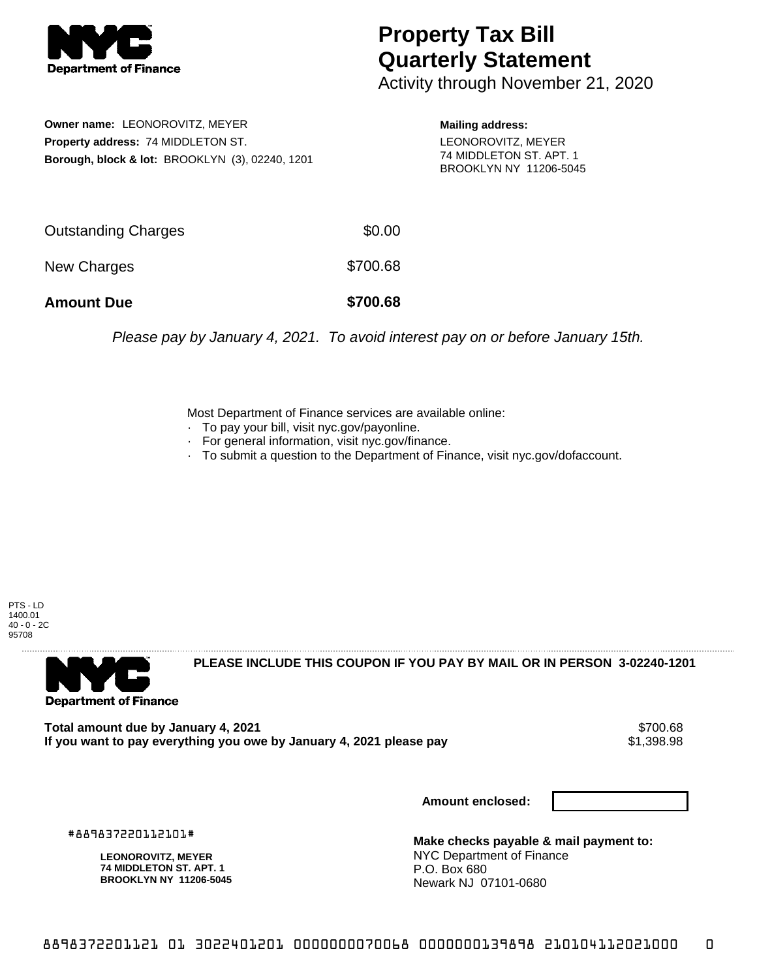

## **Property Tax Bill Quarterly Statement**

Activity through November 21, 2020

**Owner name:** LEONOROVITZ, MEYER **Property address:** 74 MIDDLETON ST. **Borough, block & lot:** BROOKLYN (3), 02240, 1201 **Mailing address:** LEONOROVITZ, MEYER 74 MIDDLETON ST. APT. 1 BROOKLYN NY 11206-5045

| <b>Amount Due</b>   | \$700.68 |
|---------------------|----------|
| New Charges         | \$700.68 |
| Outstanding Charges | \$0.00   |

Please pay by January 4, 2021. To avoid interest pay on or before January 15th.

Most Department of Finance services are available online:

- · To pay your bill, visit nyc.gov/payonline.
- For general information, visit nyc.gov/finance.
- · To submit a question to the Department of Finance, visit nyc.gov/dofaccount.

PTS - LD 1400.01 40 - 0 - 2C 95708



**PLEASE INCLUDE THIS COUPON IF YOU PAY BY MAIL OR IN PERSON 3-02240-1201** 

Total amount due by January 4, 2021<br>If you want to pay everything you owe by January 4, 2021 please pay **ship in the set of the set of the s**1,398.98 If you want to pay everything you owe by January 4, 2021 please pay

**Amount enclosed:**

#889837220112101#

**LEONOROVITZ, MEYER 74 MIDDLETON ST. APT. 1 BROOKLYN NY 11206-5045**

**Make checks payable & mail payment to:** NYC Department of Finance P.O. Box 680 Newark NJ 07101-0680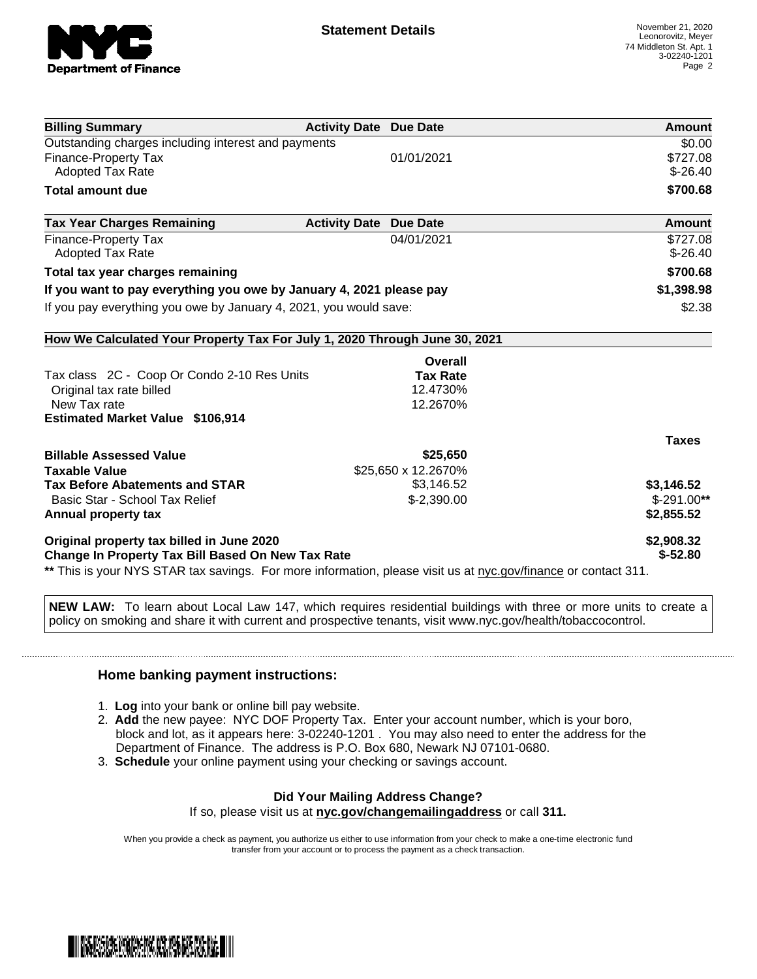

| <b>Billing Summary</b>                                                                                                                                              | <b>Activity Date Due Date</b> | Amount        |
|---------------------------------------------------------------------------------------------------------------------------------------------------------------------|-------------------------------|---------------|
| Outstanding charges including interest and payments                                                                                                                 |                               | \$0.00        |
| <b>Finance-Property Tax</b>                                                                                                                                         | 01/01/2021                    | \$727.08      |
| <b>Adopted Tax Rate</b>                                                                                                                                             |                               | $$-26.40$     |
| <b>Total amount due</b>                                                                                                                                             |                               | \$700.68      |
| <b>Tax Year Charges Remaining</b>                                                                                                                                   | <b>Activity Date Due Date</b> | <b>Amount</b> |
| <b>Finance-Property Tax</b>                                                                                                                                         | 04/01/2021                    | \$727.08      |
| <b>Adopted Tax Rate</b>                                                                                                                                             |                               | $$ -26.40$    |
| Total tax year charges remaining                                                                                                                                    |                               | \$700.68      |
| If you want to pay everything you owe by January 4, 2021 please pay                                                                                                 |                               | \$1,398.98    |
| If you pay everything you owe by January 4, 2021, you would save:                                                                                                   |                               | \$2.38        |
| How We Calculated Your Property Tax For July 1, 2020 Through June 30, 2021                                                                                          |                               |               |
|                                                                                                                                                                     | Overall                       |               |
| Tax class 2C - Coop Or Condo 2-10 Res Units                                                                                                                         | <b>Tax Rate</b>               |               |
| Original tax rate billed                                                                                                                                            | 12.4730%                      |               |
| New Tax rate                                                                                                                                                        | 12.2670%                      |               |
| <b>Estimated Market Value \$106,914</b>                                                                                                                             |                               |               |
|                                                                                                                                                                     |                               | <b>Taxes</b>  |
| <b>Billable Assessed Value</b>                                                                                                                                      | \$25,650                      |               |
| <b>Taxable Value</b>                                                                                                                                                | \$25,650 x 12.2670%           |               |
| <b>Tax Before Abatements and STAR</b>                                                                                                                               | \$3,146.52                    | \$3,146.52    |
| Basic Star - School Tax Relief                                                                                                                                      | $$-2,390.00$                  | $$-291.00**$  |
| Annual property tax                                                                                                                                                 |                               | \$2,855.52    |
| Original property tax billed in June 2020                                                                                                                           |                               | \$2,908.32    |
| Change In Property Tax Bill Based On New Tax Rate<br>** This is your NYS STAR tax savings. For more information, please visit us at nyc.gov/finance or contact 311. |                               | $$ -52.80$    |

**NEW LAW:** To learn about Local Law 147, which requires residential buildings with three or more units to create a policy on smoking and share it with current and prospective tenants, visit www.nyc.gov/health/tobaccocontrol.

## **Home banking payment instructions:**

- 1. **Log** into your bank or online bill pay website.
- 2. **Add** the new payee: NYC DOF Property Tax. Enter your account number, which is your boro, block and lot, as it appears here: 3-02240-1201 . You may also need to enter the address for the Department of Finance. The address is P.O. Box 680, Newark NJ 07101-0680.
- 3. **Schedule** your online payment using your checking or savings account.

## **Did Your Mailing Address Change?**

If so, please visit us at **nyc.gov/changemailingaddress** or call **311.**

When you provide a check as payment, you authorize us either to use information from your check to make a one-time electronic fund transfer from your account or to process the payment as a check transaction.